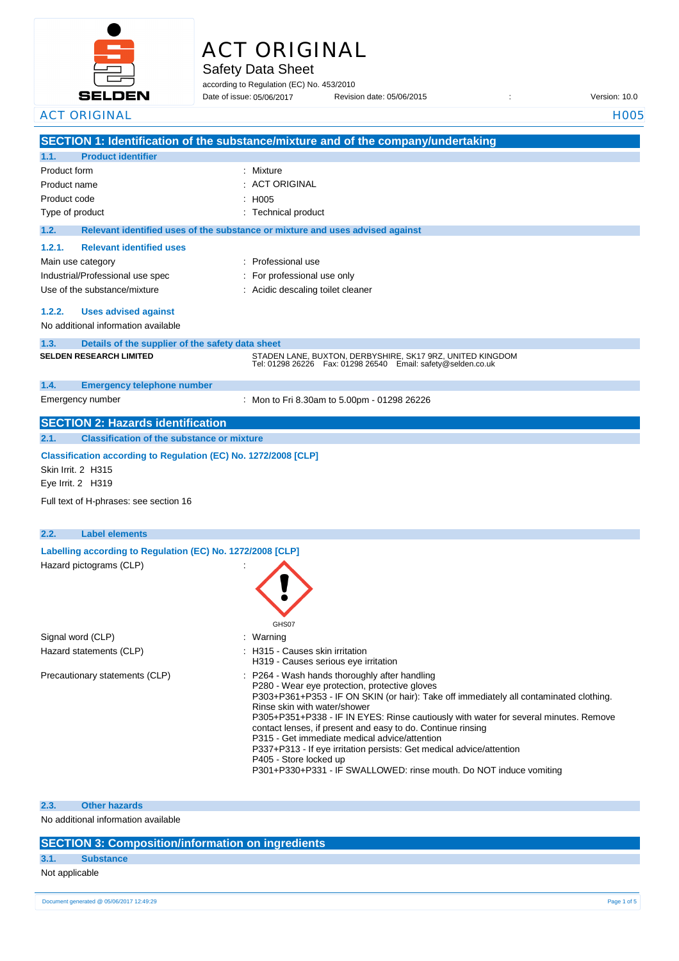

# ACT ORIGINAL

Safety Data Sheet

according to Regulation (EC) No. 453/2010 Date of issue: Revision date: 05/06/2015 : Version: 10.0 Date of issue: 05/06/2017

|              | <b>ACT ORIGINAL</b>                                                                                                                                  | <b>H005</b>                                                                                                                                                                                                                                                                                                                                                                                                                                                                                                                                                                                              |  |
|--------------|------------------------------------------------------------------------------------------------------------------------------------------------------|----------------------------------------------------------------------------------------------------------------------------------------------------------------------------------------------------------------------------------------------------------------------------------------------------------------------------------------------------------------------------------------------------------------------------------------------------------------------------------------------------------------------------------------------------------------------------------------------------------|--|
|              |                                                                                                                                                      | SECTION 1: Identification of the substance/mixture and of the company/undertaking                                                                                                                                                                                                                                                                                                                                                                                                                                                                                                                        |  |
| 1.1.         | <b>Product identifier</b>                                                                                                                            |                                                                                                                                                                                                                                                                                                                                                                                                                                                                                                                                                                                                          |  |
| Product form |                                                                                                                                                      | Mixture                                                                                                                                                                                                                                                                                                                                                                                                                                                                                                                                                                                                  |  |
| Product name |                                                                                                                                                      | <b>ACT ORIGINAL</b>                                                                                                                                                                                                                                                                                                                                                                                                                                                                                                                                                                                      |  |
| Product code |                                                                                                                                                      | H005                                                                                                                                                                                                                                                                                                                                                                                                                                                                                                                                                                                                     |  |
|              | Type of product                                                                                                                                      | <b>Technical product</b>                                                                                                                                                                                                                                                                                                                                                                                                                                                                                                                                                                                 |  |
| 1.2.         |                                                                                                                                                      | Relevant identified uses of the substance or mixture and uses advised against                                                                                                                                                                                                                                                                                                                                                                                                                                                                                                                            |  |
| 1.2.1.       | <b>Relevant identified uses</b>                                                                                                                      |                                                                                                                                                                                                                                                                                                                                                                                                                                                                                                                                                                                                          |  |
|              | Main use category                                                                                                                                    | Professional use                                                                                                                                                                                                                                                                                                                                                                                                                                                                                                                                                                                         |  |
|              | Industrial/Professional use spec                                                                                                                     | For professional use only                                                                                                                                                                                                                                                                                                                                                                                                                                                                                                                                                                                |  |
|              | Use of the substance/mixture                                                                                                                         | Acidic descaling toilet cleaner                                                                                                                                                                                                                                                                                                                                                                                                                                                                                                                                                                          |  |
| 1.2.2.       | <b>Uses advised against</b>                                                                                                                          |                                                                                                                                                                                                                                                                                                                                                                                                                                                                                                                                                                                                          |  |
|              | No additional information available                                                                                                                  |                                                                                                                                                                                                                                                                                                                                                                                                                                                                                                                                                                                                          |  |
|              |                                                                                                                                                      |                                                                                                                                                                                                                                                                                                                                                                                                                                                                                                                                                                                                          |  |
| 1.3.         | Details of the supplier of the safety data sheet<br><b>SELDEN RESEARCH LIMITED</b>                                                                   | STADEN LANE, BUXTON, DERBYSHIRE, SK17 9RZ, UNITED KINGDOM                                                                                                                                                                                                                                                                                                                                                                                                                                                                                                                                                |  |
|              |                                                                                                                                                      | Tel: 01298 26226    Fax: 01298 26540    Email: safety@selden.co.uk                                                                                                                                                                                                                                                                                                                                                                                                                                                                                                                                       |  |
| 1.4.         | <b>Emergency telephone number</b>                                                                                                                    |                                                                                                                                                                                                                                                                                                                                                                                                                                                                                                                                                                                                          |  |
|              | Emergency number                                                                                                                                     | : Mon to Fri 8.30am to 5.00pm - 01298 26226                                                                                                                                                                                                                                                                                                                                                                                                                                                                                                                                                              |  |
|              | <b>SECTION 2: Hazards identification</b>                                                                                                             |                                                                                                                                                                                                                                                                                                                                                                                                                                                                                                                                                                                                          |  |
| 2.1.         | <b>Classification of the substance or mixture</b>                                                                                                    |                                                                                                                                                                                                                                                                                                                                                                                                                                                                                                                                                                                                          |  |
|              | Classification according to Regulation (EC) No. 1272/2008 [CLP]<br>Skin Irrit. 2 H315<br>Eye Irrit. 2 H319<br>Full text of H-phrases: see section 16 |                                                                                                                                                                                                                                                                                                                                                                                                                                                                                                                                                                                                          |  |
|              |                                                                                                                                                      |                                                                                                                                                                                                                                                                                                                                                                                                                                                                                                                                                                                                          |  |
| 2.2.         | <b>Label elements</b>                                                                                                                                |                                                                                                                                                                                                                                                                                                                                                                                                                                                                                                                                                                                                          |  |
|              | Labelling according to Regulation (EC) No. 1272/2008 [CLP]                                                                                           |                                                                                                                                                                                                                                                                                                                                                                                                                                                                                                                                                                                                          |  |
|              | Hazard pictograms (CLP)                                                                                                                              | <b>GHS07</b>                                                                                                                                                                                                                                                                                                                                                                                                                                                                                                                                                                                             |  |
|              | Signal word (CLP)                                                                                                                                    | : Warning                                                                                                                                                                                                                                                                                                                                                                                                                                                                                                                                                                                                |  |
|              | Hazard statements (CLP)                                                                                                                              | : H315 - Causes skin irritation<br>H319 - Causes serious eye irritation                                                                                                                                                                                                                                                                                                                                                                                                                                                                                                                                  |  |
|              | Precautionary statements (CLP)                                                                                                                       | : P264 - Wash hands thoroughly after handling<br>P280 - Wear eye protection, protective gloves<br>P303+P361+P353 - IF ON SKIN (or hair): Take off immediately all contaminated clothing.<br>Rinse skin with water/shower<br>P305+P351+P338 - IF IN EYES: Rinse cautiously with water for several minutes. Remove<br>contact lenses, if present and easy to do. Continue rinsing<br>P315 - Get immediate medical advice/attention<br>P337+P313 - If eye irritation persists: Get medical advice/attention<br>P405 - Store locked up<br>P301+P330+P331 - IF SWALLOWED: rinse mouth. Do NOT induce vomiting |  |
|              |                                                                                                                                                      |                                                                                                                                                                                                                                                                                                                                                                                                                                                                                                                                                                                                          |  |

**2.3. Other hazards**

No additional information available

# **SECTION 3: Composition/information on ingredients**

# **3.1. Substance**

Not applicable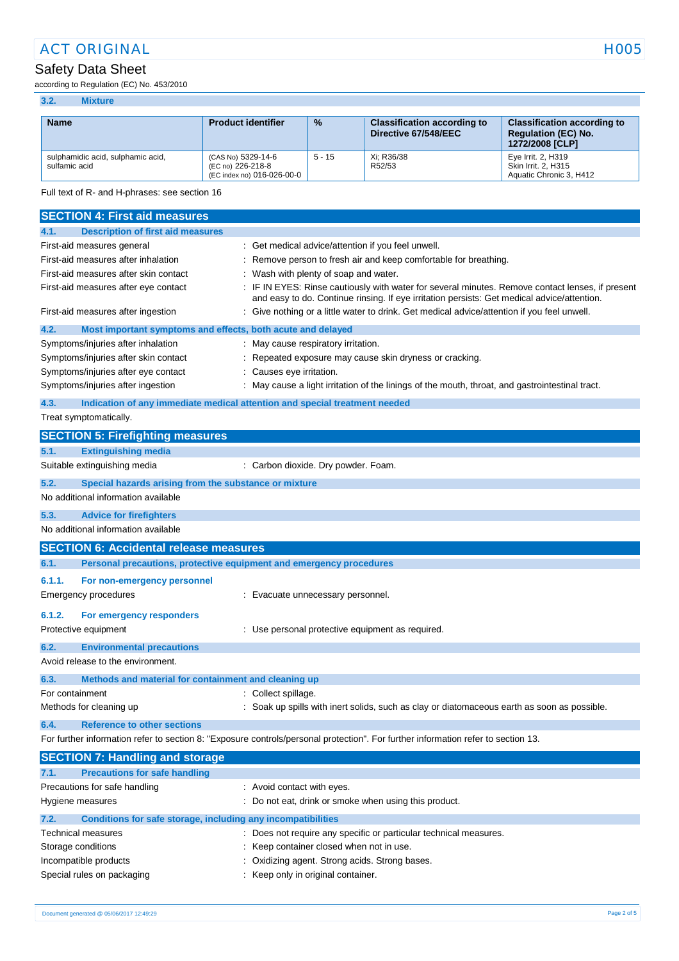# Safety Data Sheet

**3.2. Mixture**

according to Regulation (EC) No. 453/2010

| <b>Name</b>                                                                                                                                                                                                                             | <b>Product identifier</b>                                             | %        | <b>Classification according to</b><br>Directive 67/548/EEC                                  | <b>Classification according to</b><br><b>Regulation (EC) No.</b><br>1272/2008 [CLP] |  |
|-----------------------------------------------------------------------------------------------------------------------------------------------------------------------------------------------------------------------------------------|-----------------------------------------------------------------------|----------|---------------------------------------------------------------------------------------------|-------------------------------------------------------------------------------------|--|
| sulphamidic acid, sulphamic acid,<br>sulfamic acid                                                                                                                                                                                      | (CAS No) 5329-14-6<br>(EC no) 226-218-8<br>(EC index no) 016-026-00-0 | $5 - 15$ | Xi; R36/38<br>R52/53                                                                        | Eye Irrit. 2, H319<br>Skin Irrit. 2, H315<br>Aquatic Chronic 3, H412                |  |
| Full text of R- and H-phrases: see section 16                                                                                                                                                                                           |                                                                       |          |                                                                                             |                                                                                     |  |
| <b>SECTION 4: First aid measures</b>                                                                                                                                                                                                    |                                                                       |          |                                                                                             |                                                                                     |  |
| <b>Description of first aid measures</b><br>4.1.                                                                                                                                                                                        |                                                                       |          |                                                                                             |                                                                                     |  |
| First-aid measures general                                                                                                                                                                                                              |                                                                       |          | : Get medical advice/attention if you feel unwell.                                          |                                                                                     |  |
| First-aid measures after inhalation                                                                                                                                                                                                     |                                                                       |          | : Remove person to fresh air and keep comfortable for breathing.                            |                                                                                     |  |
| First-aid measures after skin contact                                                                                                                                                                                                   | : Wash with plenty of soap and water.                                 |          |                                                                                             |                                                                                     |  |
| : IF IN EYES: Rinse cautiously with water for several minutes. Remove contact lenses, if present<br>First-aid measures after eye contact<br>and easy to do. Continue rinsing. If eye irritation persists: Get medical advice/attention. |                                                                       |          |                                                                                             |                                                                                     |  |
| First-aid measures after ingestion                                                                                                                                                                                                      |                                                                       |          | : Give nothing or a little water to drink. Get medical advice/attention if you feel unwell. |                                                                                     |  |
| 4.2.<br>Most important symptoms and effects, both acute and delayed                                                                                                                                                                     |                                                                       |          |                                                                                             |                                                                                     |  |
| Symptoms/injuries after inhalation                                                                                                                                                                                                      | : May cause respiratory irritation.                                   |          |                                                                                             |                                                                                     |  |
| Symptoms/injuries after skin contact<br>Repeated exposure may cause skin dryness or cracking.                                                                                                                                           |                                                                       |          |                                                                                             |                                                                                     |  |
| Symptoms/injuries after eye contact                                                                                                                                                                                                     | : Causes eye irritation.                                              |          |                                                                                             |                                                                                     |  |
| Symptoms/injuries after ingestion<br>: May cause a light irritation of the linings of the mouth, throat, and gastrointestinal tract.                                                                                                    |                                                                       |          |                                                                                             |                                                                                     |  |
| 4.3.<br>Indication of any immediate medical attention and special treatment needed                                                                                                                                                      |                                                                       |          |                                                                                             |                                                                                     |  |
| Treat symptomatically.                                                                                                                                                                                                                  |                                                                       |          |                                                                                             |                                                                                     |  |
| <b>SECTION 5: Firefighting measures</b>                                                                                                                                                                                                 |                                                                       |          |                                                                                             |                                                                                     |  |
| <b>Extinguishing media</b><br>5.1.                                                                                                                                                                                                      |                                                                       |          |                                                                                             |                                                                                     |  |
| Suitable extinguishing media<br>: Carbon dioxide. Dry powder. Foam.                                                                                                                                                                     |                                                                       |          |                                                                                             |                                                                                     |  |
| 5.2.<br>Special hazards arising from the substance or mixture                                                                                                                                                                           |                                                                       |          |                                                                                             |                                                                                     |  |
| No additional information available                                                                                                                                                                                                     |                                                                       |          |                                                                                             |                                                                                     |  |
| 5.3.<br><b>Advice for firefighters</b>                                                                                                                                                                                                  |                                                                       |          |                                                                                             |                                                                                     |  |
| No additional information available                                                                                                                                                                                                     |                                                                       |          |                                                                                             |                                                                                     |  |
| <b>SECTION 6: Accidental release measures</b>                                                                                                                                                                                           |                                                                       |          |                                                                                             |                                                                                     |  |
| 6.1.                                                                                                                                                                                                                                    | Personal precautions, protective equipment and emergency procedures   |          |                                                                                             |                                                                                     |  |

| Emergency procedures<br>: Evacuate unnecessary personnel.                                                                                          |  |  |  |  |
|----------------------------------------------------------------------------------------------------------------------------------------------------|--|--|--|--|
|                                                                                                                                                    |  |  |  |  |
| For emergency responders<br>6.1.2.                                                                                                                 |  |  |  |  |
| : Use personal protective equipment as required.<br>Protective equipment                                                                           |  |  |  |  |
| 6.2.<br><b>Environmental precautions</b>                                                                                                           |  |  |  |  |
| Avoid release to the environment.                                                                                                                  |  |  |  |  |
| Methods and material for containment and cleaning up                                                                                               |  |  |  |  |
| For containment<br>: Collect spillage.                                                                                                             |  |  |  |  |
| : Soak up spills with inert solids, such as clay or diatomaceous earth as soon as possible.<br>Methods for cleaning up<br>$\sim$ $\sim$<br>__<br>. |  |  |  |  |

**6.4. Reference to other sections**

For further information refer to section 8: "Exposure controls/personal protection". For further information refer to section 13.

|                                                              | : Avoid contact with eyes.                                                                                                                                                                                                                    |
|--------------------------------------------------------------|-----------------------------------------------------------------------------------------------------------------------------------------------------------------------------------------------------------------------------------------------|
|                                                              | : Do not eat, drink or smoke when using this product.                                                                                                                                                                                         |
| Conditions for safe storage, including any incompatibilities |                                                                                                                                                                                                                                               |
|                                                              | : Does not require any specific or particular technical measures.                                                                                                                                                                             |
|                                                              | : Keep container closed when not in use.                                                                                                                                                                                                      |
|                                                              | : Oxidizing agent. Strong acids. Strong bases.                                                                                                                                                                                                |
|                                                              | : Keep only in original container.                                                                                                                                                                                                            |
|                                                              | <b>SECTION 7: Handling and storage</b><br><b>Precautions for safe handling</b><br>Precautions for safe handling<br>Hygiene measures<br><b>Technical measures</b><br>Storage conditions<br>Incompatible products<br>Special rules on packaging |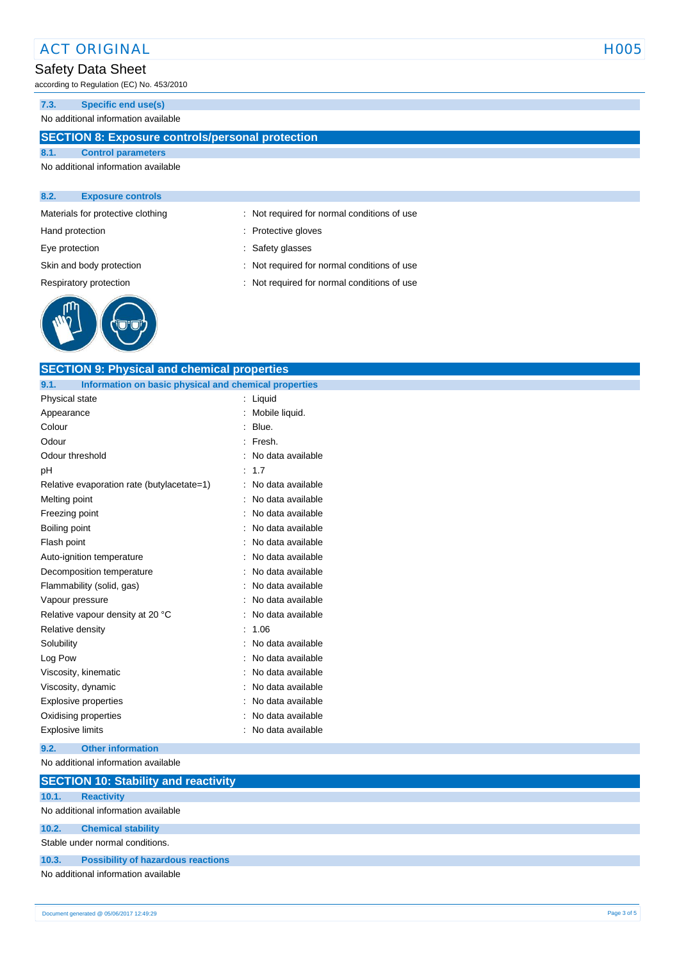# ACT ORIGINAL HOOS

# Safety Data Sheet

according to Regulation (EC) No. 453/2010

**7.3. Specific end use(s)**

### No additional information available

## **SECTION 8: Exposure controls/personal protection**

### **8.1. Control parameters** No additional information available

#### **8.2. Exposure controls**

Materials for protective clothing : Not required for normal conditions of use



- Hand protection **in the case of the contract of the contract of the contract of the contract of the contract of the contract of the contract of the contract of the contract of the contract of the contract of the contract o**
- Eye protection  $\qquad \qquad$ : Safety glasses
- Skin and body protection : Not required for normal conditions of use
- Respiratory protection : Not required for normal conditions of use

| <b>SECTION 9: Physical and chemical properties</b>            |                   |  |  |
|---------------------------------------------------------------|-------------------|--|--|
| 9.1.<br>Information on basic physical and chemical properties |                   |  |  |
| Physical state                                                | : Liquid          |  |  |
| Appearance                                                    | : Mobile liquid.  |  |  |
| Colour                                                        | Blue.<br>÷        |  |  |
| Odour                                                         | : Fresh.          |  |  |
| Odour threshold                                               | No data available |  |  |
| pH                                                            | : 1.7             |  |  |
| Relative evaporation rate (butylacetate=1)                    | No data available |  |  |
| Melting point                                                 | No data available |  |  |
| Freezing point                                                | No data available |  |  |
| Boiling point                                                 | No data available |  |  |
| Flash point                                                   | No data available |  |  |
| Auto-ignition temperature                                     | No data available |  |  |
| Decomposition temperature                                     | No data available |  |  |
| Flammability (solid, gas)                                     | No data available |  |  |
| Vapour pressure                                               | No data available |  |  |
| Relative vapour density at 20 °C                              | No data available |  |  |
| Relative density                                              | : 1.06            |  |  |
| Solubility                                                    | No data available |  |  |
| Log Pow                                                       | No data available |  |  |
| Viscosity, kinematic                                          | No data available |  |  |
| Viscosity, dynamic                                            | No data available |  |  |
| Explosive properties                                          | No data available |  |  |
| Oxidising properties                                          | No data available |  |  |
| <b>Explosive limits</b>                                       | No data available |  |  |
|                                                               |                   |  |  |

#### **9.2. Other information**

No additional information available

|                                     | <b>SECTION 10: Stability and reactivity</b> |  |  |
|-------------------------------------|---------------------------------------------|--|--|
| 10.1.                               | <b>Reactivity</b>                           |  |  |
|                                     | No additional information available         |  |  |
| 10.2.                               | <b>Chemical stability</b>                   |  |  |
| Stable under normal conditions.     |                                             |  |  |
| 10.3.                               | <b>Possibility of hazardous reactions</b>   |  |  |
| No additional information available |                                             |  |  |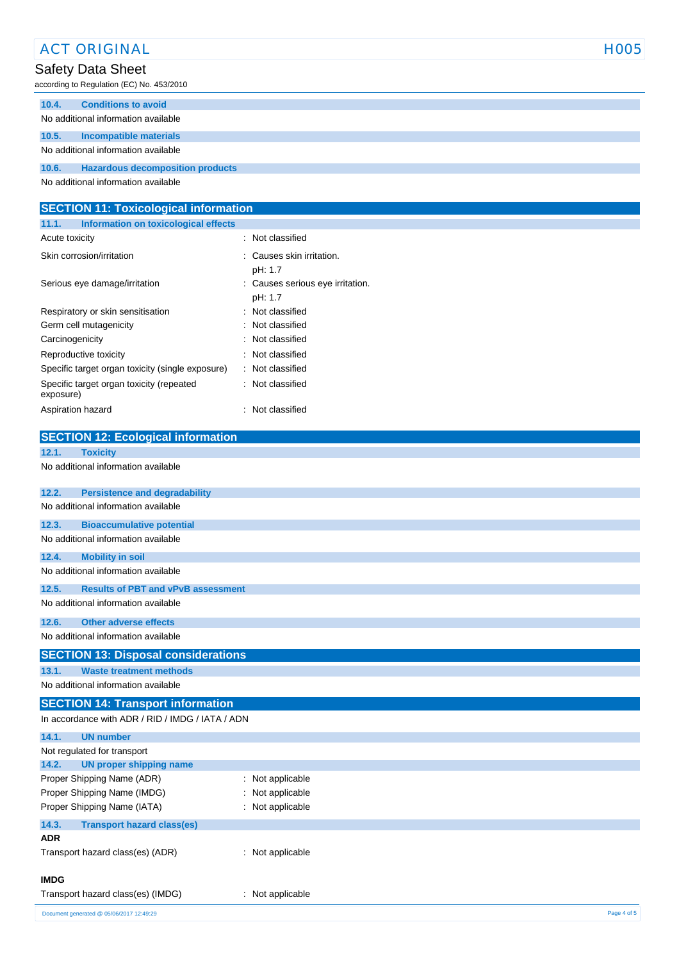| <b>ACT ORIGINAL</b>                                |                                             | <b>HOO5</b> |
|----------------------------------------------------|---------------------------------------------|-------------|
| <b>Safety Data Sheet</b>                           |                                             |             |
| according to Regulation (EC) No. 453/2010          |                                             |             |
| 10.4.<br><b>Conditions to avoid</b>                |                                             |             |
| No additional information available                |                                             |             |
| 10.5.<br><b>Incompatible materials</b>             |                                             |             |
| No additional information available                |                                             |             |
| 10.6.<br><b>Hazardous decomposition products</b>   |                                             |             |
| No additional information available                |                                             |             |
|                                                    |                                             |             |
| <b>SECTION 11: Toxicological information</b>       |                                             |             |
| Information on toxicological effects<br>11.1.      |                                             |             |
| Acute toxicity                                     | : Not classified                            |             |
| Skin corrosion/irritation                          | : Causes skin irritation.                   |             |
|                                                    | pH: 1.7                                     |             |
| Serious eye damage/irritation                      | : Causes serious eye irritation.<br>pH: 1.7 |             |
| Respiratory or skin sensitisation                  | Not classified                              |             |
| Germ cell mutagenicity                             | Not classified                              |             |
| Carcinogenicity                                    | Not classified                              |             |
| Reproductive toxicity                              | Not classified                              |             |
| Specific target organ toxicity (single exposure)   | Not classified                              |             |
| Specific target organ toxicity (repeated           | : Not classified                            |             |
| exposure)                                          |                                             |             |
| Aspiration hazard                                  | Not classified                              |             |
| <b>SECTION 12: Ecological information</b>          |                                             |             |
| 12.1.<br><b>Toxicity</b>                           |                                             |             |
| No additional information available                |                                             |             |
|                                                    |                                             |             |
| 12.2.<br><b>Persistence and degradability</b>      |                                             |             |
| No additional information available                |                                             |             |
| 12.3.<br><b>Bioaccumulative potential</b>          |                                             |             |
| No additional information available                |                                             |             |
| 12.4.<br><b>Mobility in soil</b>                   |                                             |             |
| No additional information available                |                                             |             |
| 12.5.<br><b>Results of PBT and vPvB assessment</b> |                                             |             |
| No additional information available                |                                             |             |
| 12.6.<br><b>Other adverse effects</b>              |                                             |             |
| No additional information available                |                                             |             |
| <b>SECTION 13: Disposal considerations</b>         |                                             |             |
| 13.1.<br><b>Waste treatment methods</b>            |                                             |             |
| No additional information available                |                                             |             |
| <b>SECTION 14: Transport information</b>           |                                             |             |
| In accordance with ADR / RID / IMDG / IATA / ADN   |                                             |             |
| 14.1.<br><b>UN number</b>                          |                                             |             |
| Not regulated for transport                        |                                             |             |
| 14.2.<br><b>UN proper shipping name</b>            |                                             |             |
| Proper Shipping Name (ADR)                         | : Not applicable                            |             |
| Proper Shipping Name (IMDG)                        | Not applicable                              |             |
| Proper Shipping Name (IATA)                        | : Not applicable                            |             |
| 14.3.<br><b>Transport hazard class(es)</b>         |                                             |             |
| <b>ADR</b>                                         |                                             |             |
| Transport hazard class(es) (ADR)                   | : Not applicable                            |             |
|                                                    |                                             |             |
| <b>IMDG</b>                                        |                                             |             |
| Transport hazard class(es) (IMDG)                  | : Not applicable                            |             |
| Document generated @ 05/06/2017 12:49:29           |                                             | Page 4 of 5 |